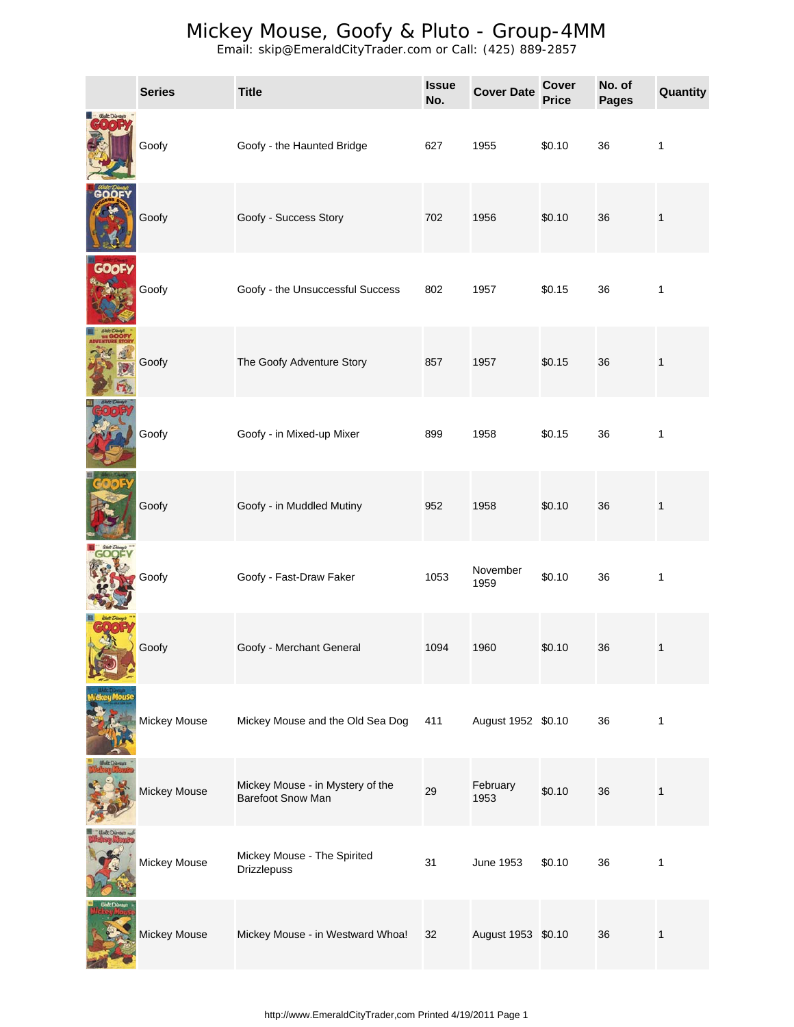|              | <b>Series</b> | <b>Title</b>                                          | <b>Issue</b><br>No. | <b>Cover Date</b>  | <b>Cover</b><br><b>Price</b> | No. of<br><b>Pages</b> | Quantity     |
|--------------|---------------|-------------------------------------------------------|---------------------|--------------------|------------------------------|------------------------|--------------|
|              | Goofy         | Goofy - the Haunted Bridge                            | 627                 | 1955               | \$0.10                       | 36                     | 1            |
|              | Goofy         | Goofy - Success Story                                 | 702                 | 1956               | \$0.10                       | 36                     | $\mathbf{1}$ |
| <b>GOOFY</b> | Goofy         | Goofy - the Unsuccessful Success                      | 802                 | 1957               | \$0.15                       | 36                     | 1            |
|              | Goofy         | The Goofy Adventure Story                             | 857                 | 1957               | \$0.15                       | 36                     | 1            |
|              | Goofy         | Goofy - in Mixed-up Mixer                             | 899                 | 1958               | \$0.15                       | 36                     | $\mathbf{1}$ |
|              | Goofy         | Goofy - in Muddled Mutiny                             | 952                 | 1958               | \$0.10                       | 36                     | $\mathbf{1}$ |
|              | Goofy         | Goofy - Fast-Draw Faker                               | 1053                | November<br>1959   | \$0.10                       | 36                     | $\mathbf{1}$ |
|              | Goofy         | Goofy - Merchant General                              | 1094                | 1960               | \$0.10                       | 36                     | 1            |
|              | Mickey Mouse  | Mickey Mouse and the Old Sea Dog                      | 411                 | August 1952 \$0.10 |                              | 36                     | $\mathbf{1}$ |
|              | Mickey Mouse  | Mickey Mouse - in Mystery of the<br>Barefoot Snow Man | 29                  | February<br>1953   | \$0.10                       | 36                     | 1            |
|              | Mickey Mouse  | Mickey Mouse - The Spirited<br>Drizzlepuss            | 31                  | June 1953          | \$0.10                       | 36                     | 1            |
|              | Mickey Mouse  | Mickey Mouse - in Westward Whoa!                      | 32                  | August 1953 \$0.10 |                              | 36                     | $\mathbf{1}$ |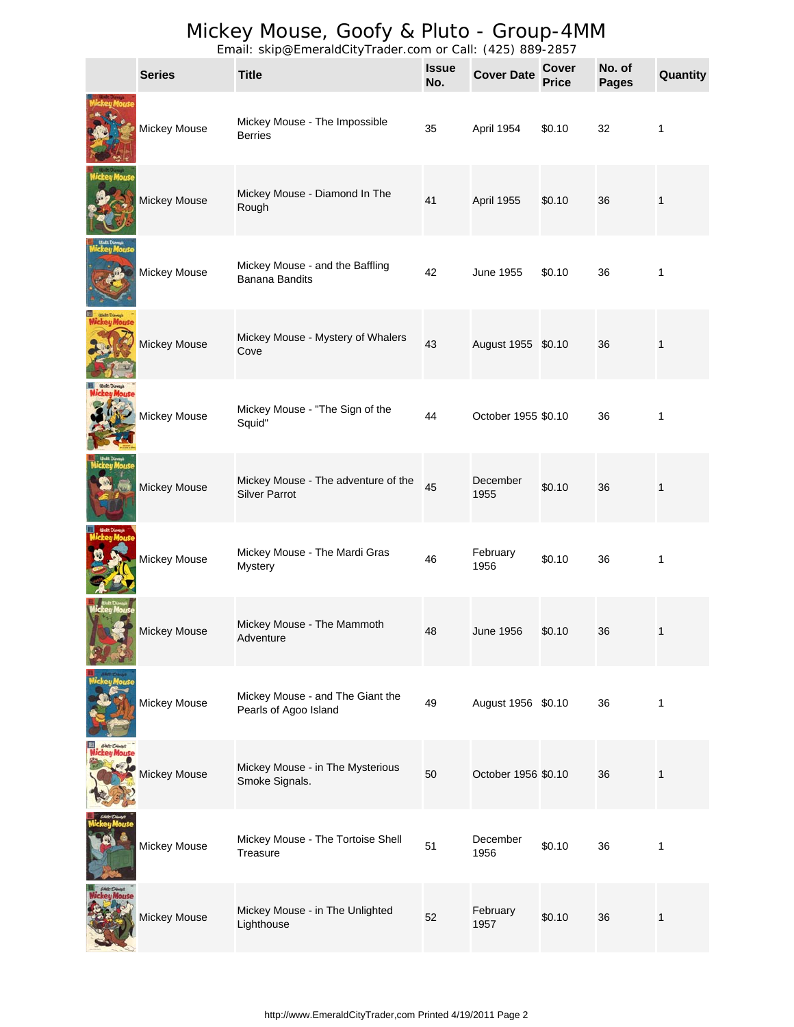|           | <b>Series</b>       | $\mathsf{m}$ and $\mathsf{m}$ , $\mathsf{m}$ and $\mathsf{m}$ and $\mathsf{m}$ and $\mathsf{m}$ and $\mathsf{m}$<br><b>Title</b> | <b>Issue</b><br>No. | -97 997<br><b>Cover Date</b> | <b>Cover</b><br><b>Price</b> | No. of<br><b>Pages</b> | Quantity     |
|-----------|---------------------|----------------------------------------------------------------------------------------------------------------------------------|---------------------|------------------------------|------------------------------|------------------------|--------------|
|           | Mickey Mouse        | Mickey Mouse - The Impossible<br><b>Berries</b>                                                                                  | 35                  | April 1954                   | \$0.10                       | 32                     | 1            |
|           | Mickey Mouse        | Mickey Mouse - Diamond In The<br>Rough                                                                                           | 41                  | April 1955                   | \$0.10                       | 36                     | $\mathbf{1}$ |
|           | Mickey Mouse        | Mickey Mouse - and the Baffling<br>Banana Bandits                                                                                | 42                  | June 1955                    | \$0.10                       | 36                     | 1            |
|           | Mickey Mouse        | Mickey Mouse - Mystery of Whalers<br>Cove                                                                                        | 43                  | August 1955 \$0.10           |                              | 36                     | $\mathbf{1}$ |
|           | Mickey Mouse        | Mickey Mouse - "The Sign of the<br>Squid"                                                                                        | 44                  | October 1955 \$0.10          |                              | 36                     | 1            |
|           | Mickey Mouse        | Mickey Mouse - The adventure of the<br><b>Silver Parrot</b>                                                                      | 45                  | December<br>1955             | \$0.10                       | 36                     | $\mathbf{1}$ |
|           | Mickey Mouse        | Mickey Mouse - The Mardi Gras<br><b>Mystery</b>                                                                                  | 46                  | February<br>1956             | \$0.10                       | 36                     | $\mathbf{1}$ |
|           | <b>Mickey Mouse</b> | Mickey Mouse - The Mammoth<br>Adventure                                                                                          | 48                  | June 1956                    | \$0.10                       | 36                     |              |
|           | Mickey Mouse        | Mickey Mouse - and The Giant the<br>Pearls of Agoo Island                                                                        | 49                  | August 1956 \$0.10           |                              | 36                     | $\mathbf{1}$ |
| teu Mouse | Mickey Mouse        | Mickey Mouse - in The Mysterious<br>Smoke Signals.                                                                               | 50                  | October 1956 \$0.10          |                              | 36                     | $\mathbf{1}$ |
|           | Mickey Mouse        | Mickey Mouse - The Tortoise Shell<br>Treasure                                                                                    | 51                  | December<br>1956             | \$0.10                       | 36                     | $\mathbf{1}$ |
|           | Mickey Mouse        | Mickey Mouse - in The Unlighted<br>Lighthouse                                                                                    | 52                  | February<br>1957             | \$0.10                       | 36                     | $\mathbf{1}$ |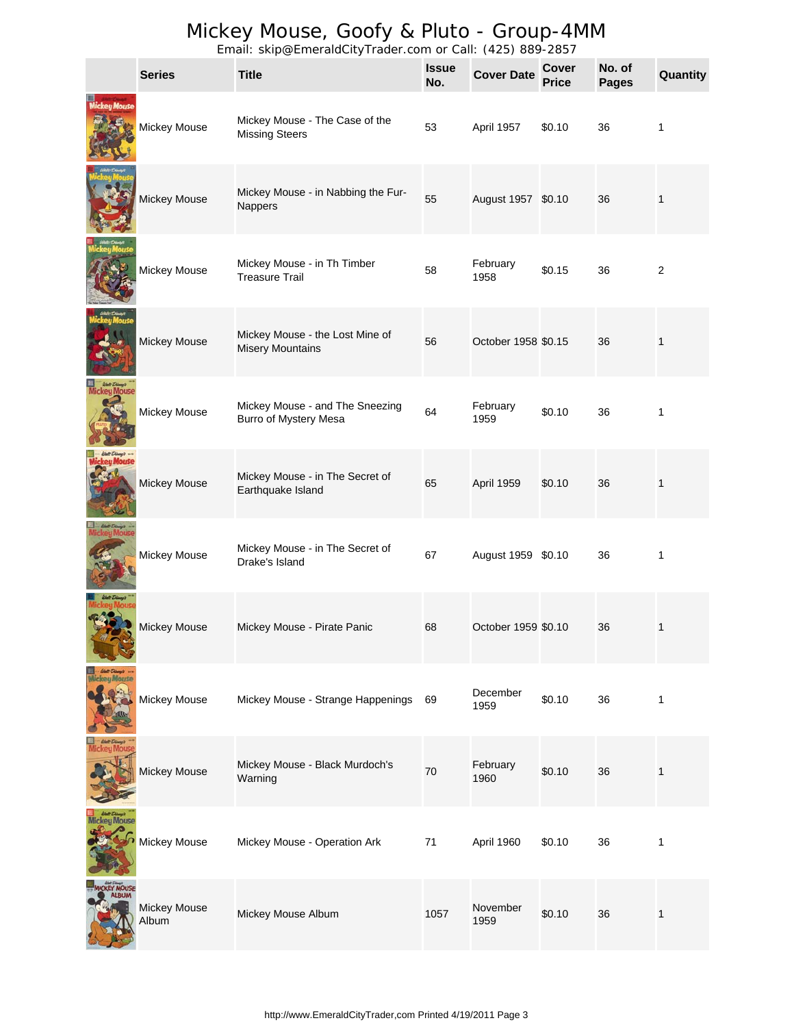|                      | <b>Series</b>         | Email: Skipe Emeraldon's mader.com or bail: (120) 607 2007<br><b>Title</b> | <b>Issue</b><br>No. | <b>Cover Date</b>   | <b>Cover</b><br><b>Price</b> | No. of<br><b>Pages</b> | Quantity       |
|----------------------|-----------------------|----------------------------------------------------------------------------|---------------------|---------------------|------------------------------|------------------------|----------------|
| ickey Mouse          | Mickey Mouse          | Mickey Mouse - The Case of the<br><b>Missing Steers</b>                    | 53                  | April 1957          | \$0.10                       | 36                     | 1              |
|                      | Mickey Mouse          | Mickey Mouse - in Nabbing the Fur-<br>Nappers                              | 55                  | August 1957 \$0.10  |                              | 36                     | 1              |
|                      | Mickey Mouse          | Mickey Mouse - in Th Timber<br><b>Treasure Trail</b>                       | 58                  | February<br>1958    | \$0.15                       | 36                     | $\overline{c}$ |
|                      | Mickey Mouse          | Mickey Mouse - the Lost Mine of<br><b>Misery Mountains</b>                 | 56                  | October 1958 \$0.15 |                              | 36                     | 1              |
|                      | Mickey Mouse          | Mickey Mouse - and The Sneezing<br><b>Burro of Mystery Mesa</b>            | 64                  | February<br>1959    | \$0.10                       | 36                     | 1              |
| <b><i>I</i>Mouse</b> | Mickey Mouse          | Mickey Mouse - in The Secret of<br>Earthquake Island                       | 65                  | April 1959          | \$0.10                       | 36                     | 1              |
|                      | Mickey Mouse          | Mickey Mouse - in The Secret of<br>Drake's Island                          | 67                  | August 1959 \$0.10  |                              | 36                     | 1              |
|                      | Mickey Mouse          | Mickey Mouse - Pirate Panic                                                | 68                  | October 1959 \$0.10 |                              | 36                     | 1              |
| eu Mouse             | Mickey Mouse          | Mickey Mouse - Strange Happenings                                          | 69                  | December<br>1959    | \$0.10                       | 36                     | 1              |
|                      | Mickey Mouse          | Mickey Mouse - Black Murdoch's<br>Warning                                  | 70                  | February<br>1960    | \$0.10                       | 36                     | 1              |
|                      | Mickey Mouse          | Mickey Mouse - Operation Ark                                               | 71                  | April 1960          | \$0.10                       | 36                     | 1              |
|                      | Mickey Mouse<br>Album | Mickey Mouse Album                                                         | 1057                | November<br>1959    | \$0.10                       | 36                     | 1              |